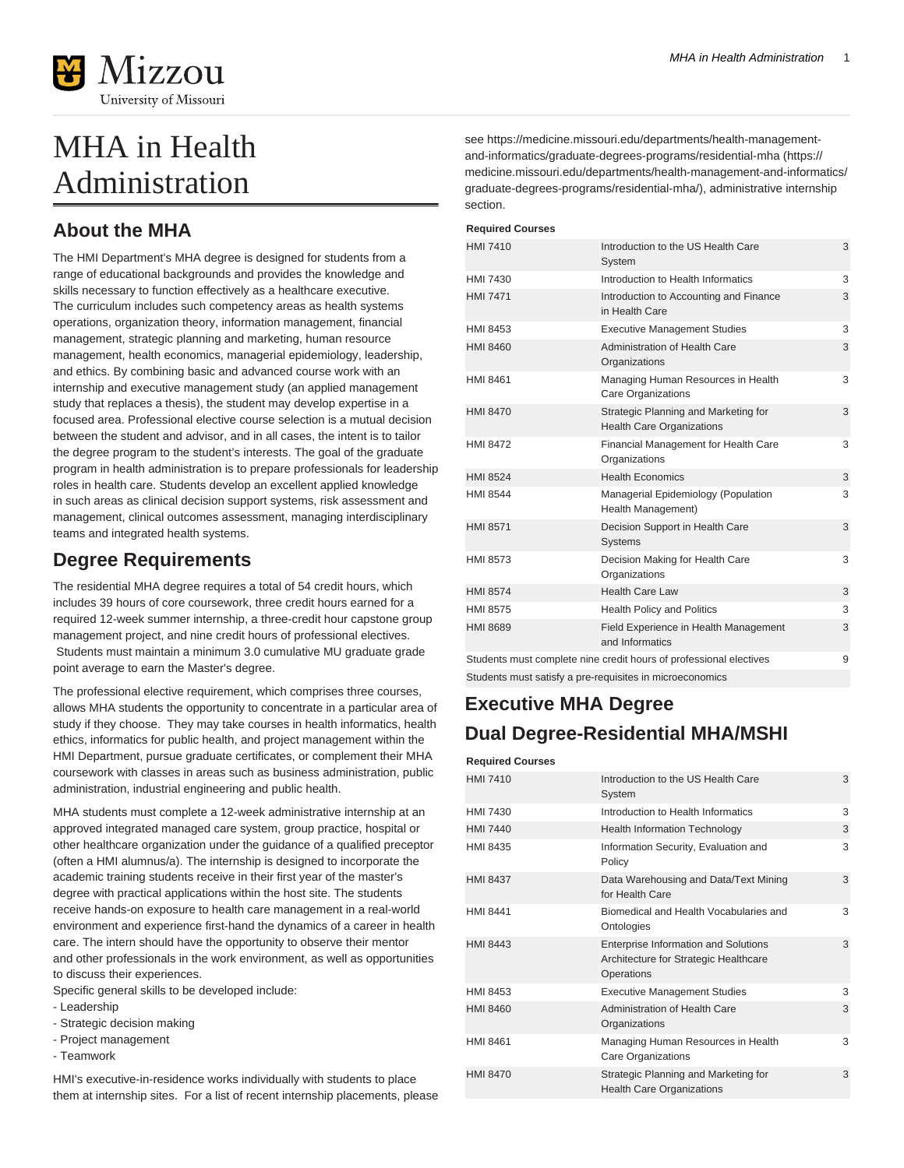

# MHA in Health Administration

## **About the MHA**

The HMI Department's MHA degree is designed for students from a range of educational backgrounds and provides the knowledge and skills necessary to function effectively as a healthcare executive. The curriculum includes such competency areas as health systems operations, organization theory, information management, financial management, strategic planning and marketing, human resource management, health economics, managerial epidemiology, leadership, and ethics. By combining basic and advanced course work with an internship and executive management study (an applied management study that replaces a thesis), the student may develop expertise in a focused area. Professional elective course selection is a mutual decision between the student and advisor, and in all cases, the intent is to tailor the degree program to the student's interests. The goal of the graduate program in health administration is to prepare professionals for leadership roles in health care. Students develop an excellent applied knowledge in such areas as clinical decision support systems, risk assessment and management, clinical outcomes assessment, managing interdisciplinary teams and integrated health systems.

### **Degree Requirements**

The residential MHA degree requires a total of 54 credit hours, which includes 39 hours of core coursework, three credit hours earned for a required 12-week summer internship, a three-credit hour capstone group management project, and nine credit hours of professional electives. Students must maintain a minimum 3.0 cumulative MU graduate grade point average to earn the Master's degree.

The professional elective requirement, which comprises three courses, allows MHA students the opportunity to concentrate in a particular area of study if they choose. They may take courses in health informatics, health ethics, informatics for public health, and project management within the HMI Department, pursue graduate certificates, or complement their MHA coursework with classes in areas such as business administration, public administration, industrial engineering and public health.

MHA students must complete a 12-week administrative internship at an approved integrated managed care system, group practice, hospital or other healthcare organization under the guidance of a qualified preceptor (often a HMI alumnus/a). The internship is designed to incorporate the academic training students receive in their first year of the master's degree with practical applications within the host site. The students receive hands-on exposure to health care management in a real-world environment and experience first-hand the dynamics of a career in health care. The intern should have the opportunity to observe their mentor and other professionals in the work environment, as well as opportunities to discuss their experiences.

Specific general skills to be developed include:

- Leadership
- Strategic decision making
- Project management
- Teamwork

HMI's executive-in-residence works individually with students to place them at internship sites. For a list of recent internship placements, please see [https://medicine.missouri.edu/departments/health-management](https://medicine.missouri.edu/departments/health-management-and-informatics/graduate-degrees-programs/residential-mha/)[and-informatics/graduate-degrees-programs/residential-mha](https://medicine.missouri.edu/departments/health-management-and-informatics/graduate-degrees-programs/residential-mha/) [\(https://](https://medicine.missouri.edu/departments/health-management-and-informatics/graduate-degrees-programs/residential-mha/) [medicine.missouri.edu/departments/health-management-and-informatics/](https://medicine.missouri.edu/departments/health-management-and-informatics/graduate-degrees-programs/residential-mha/) [graduate-degrees-programs/residential-mha/\)](https://medicine.missouri.edu/departments/health-management-and-informatics/graduate-degrees-programs/residential-mha/), administrative internship section.

#### **Required Courses**

| <b>HMI 7410</b>                                          | Introduction to the US Health Care<br>System                             | 3 |
|----------------------------------------------------------|--------------------------------------------------------------------------|---|
| HMI 7430                                                 | Introduction to Health Informatics                                       | 3 |
| <b>HMI 7471</b>                                          | Introduction to Accounting and Finance<br>in Health Care                 | 3 |
| HMI 8453                                                 | <b>Executive Management Studies</b>                                      | 3 |
| <b>HMI 8460</b>                                          | Administration of Health Care<br>Organizations                           | 3 |
| HMI 8461                                                 | Managing Human Resources in Health<br>Care Organizations                 | 3 |
| <b>HMI 8470</b>                                          | Strategic Planning and Marketing for<br><b>Health Care Organizations</b> | 3 |
| <b>HMI 8472</b>                                          | Financial Management for Health Care<br>Organizations                    | 3 |
| <b>HMI 8524</b>                                          | <b>Health Economics</b>                                                  | 3 |
| <b>HMI 8544</b>                                          | Managerial Epidemiology (Population<br>Health Management)                | 3 |
| <b>HMI 8571</b>                                          | Decision Support in Health Care<br><b>Systems</b>                        | 3 |
| HMI 8573                                                 | Decision Making for Health Care<br>Organizations                         | 3 |
| <b>HMI 8574</b>                                          | <b>Health Care Law</b>                                                   | 3 |
| <b>HMI 8575</b>                                          | Health Policy and Politics                                               | 3 |
| <b>HMI 8689</b>                                          | Field Experience in Health Management<br>and Informatics                 | 3 |
|                                                          | Students must complete nine credit hours of professional electives       | 9 |
| Students must satisfy a pre-requisites in microeconomics |                                                                          |   |

## **Executive MHA Degree Dual Degree-Residential MHA/MSHI**

#### **Required Courses**

| HMI 7410 | Introduction to the US Health Care<br>System                                                       | 3 |
|----------|----------------------------------------------------------------------------------------------------|---|
| HMI 7430 | Introduction to Health Informatics                                                                 | 3 |
| HMI 7440 | <b>Health Information Technology</b>                                                               | 3 |
| HMI 8435 | Information Security, Evaluation and<br>Policy                                                     | 3 |
| HMI 8437 | Data Warehousing and Data/Text Mining<br>for Health Care                                           | 3 |
| HMI 8441 | Biomedical and Health Vocabularies and<br>Ontologies                                               | 3 |
| HMI 8443 | <b>Enterprise Information and Solutions</b><br>Architecture for Strategic Healthcare<br>Operations | 3 |
| HMI 8453 | <b>Executive Management Studies</b>                                                                | 3 |
| HMI 8460 | Administration of Health Care<br>Organizations                                                     | 3 |
| HMI 8461 | Managing Human Resources in Health<br>Care Organizations                                           | 3 |
| HMI 8470 | Strategic Planning and Marketing for<br><b>Health Care Organizations</b>                           | 3 |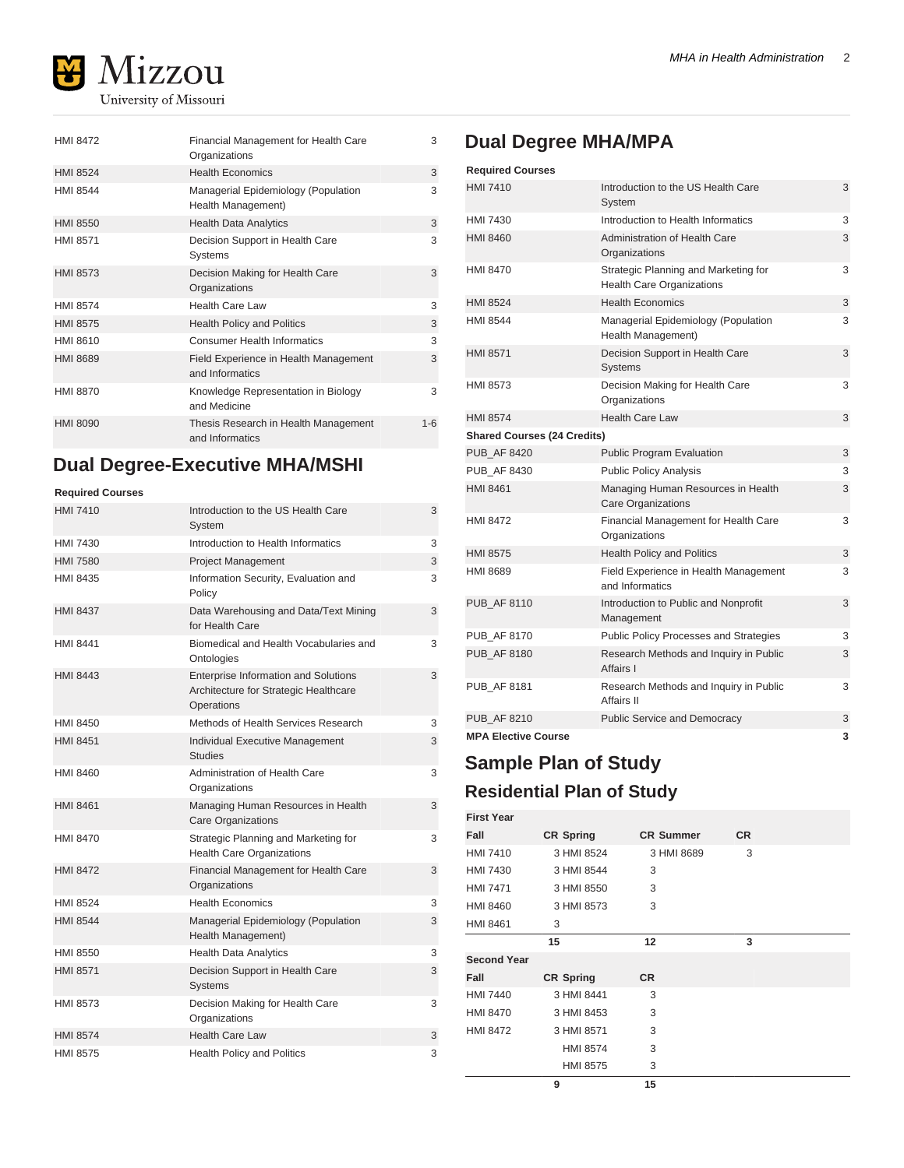

| <b>HMI 8472</b> | Financial Management for Health Care<br>Organizations     | 3       |
|-----------------|-----------------------------------------------------------|---------|
| <b>HMI 8524</b> | <b>Health Economics</b>                                   | 3       |
| <b>HMI 8544</b> | Managerial Epidemiology (Population<br>Health Management) | 3       |
| HMI 8550        | <b>Health Data Analytics</b>                              | 3       |
| <b>HMI 8571</b> | Decision Support in Health Care<br>Systems                | 3       |
| <b>HMI 8573</b> | Decision Making for Health Care<br>Organizations          | 3       |
| <b>HMI 8574</b> | <b>Health Care Law</b>                                    | 3       |
| <b>HMI 8575</b> | <b>Health Policy and Politics</b>                         | 3       |
| HMI 8610        | <b>Consumer Health Informatics</b>                        | 3       |
| <b>HMI 8689</b> | Field Experience in Health Management<br>and Informatics  | 3       |
| <b>HMI 8870</b> | Knowledge Representation in Biology<br>and Medicine       | 3       |
| <b>HMI 8090</b> | Thesis Research in Health Management<br>and Informatics   | $1 - 6$ |

## **Dual Degree-Executive MHA/MSHI**

#### **Required Courses**

| <b>HMI 7410</b> | Introduction to the US Health Care<br>System                                                       | 3 |
|-----------------|----------------------------------------------------------------------------------------------------|---|
| HMI 7430        | Introduction to Health Informatics                                                                 | 3 |
| <b>HMI 7580</b> | <b>Project Management</b>                                                                          | 3 |
| HMI 8435        | Information Security, Evaluation and<br>Policy                                                     | 3 |
| <b>HMI 8437</b> | Data Warehousing and Data/Text Mining<br>for Health Care                                           | 3 |
| <b>HMI 8441</b> | Biomedical and Health Vocabularies and<br>Ontologies                                               | 3 |
| <b>HMI 8443</b> | <b>Enterprise Information and Solutions</b><br>Architecture for Strategic Healthcare<br>Operations | 3 |
| HMI 8450        | Methods of Health Services Research                                                                | 3 |
| <b>HMI 8451</b> | Individual Executive Management<br><b>Studies</b>                                                  | 3 |
| HMI 8460        | Administration of Health Care<br>Organizations                                                     | 3 |
| <b>HMI 8461</b> | Managing Human Resources in Health<br><b>Care Organizations</b>                                    | 3 |
| <b>HMI 8470</b> | Strategic Planning and Marketing for<br><b>Health Care Organizations</b>                           | 3 |
| <b>HMI 8472</b> | Financial Management for Health Care<br>Organizations                                              | 3 |
| <b>HMI 8524</b> | <b>Health Economics</b>                                                                            | 3 |
| <b>HMI 8544</b> | Managerial Epidemiology (Population<br>Health Management)                                          | 3 |
| HMI 8550        | <b>Health Data Analytics</b>                                                                       | 3 |
| <b>HMI 8571</b> | Decision Support in Health Care<br><b>Systems</b>                                                  | 3 |
| HMI 8573        | Decision Making for Health Care<br>Organizations                                                   | 3 |
| <b>HMI 8574</b> | <b>Health Care Law</b>                                                                             | 3 |
| <b>HMI 8575</b> | <b>Health Policy and Politics</b>                                                                  | 3 |

#### MHA in Health Administration 2

## **Dual Degree MHA/MPA**

| <b>Required Courses</b>            |                                                                          |   |
|------------------------------------|--------------------------------------------------------------------------|---|
| <b>HMI 7410</b>                    | Introduction to the US Health Care<br>System                             | 3 |
| HMI 7430                           | Introduction to Health Informatics                                       | 3 |
| HMI 8460                           | <b>Administration of Health Care</b><br>Organizations                    | 3 |
| HMI 8470                           | Strategic Planning and Marketing for<br><b>Health Care Organizations</b> | 3 |
| <b>HMI 8524</b>                    | <b>Health Economics</b>                                                  | 3 |
| <b>HMI 8544</b>                    | Managerial Epidemiology (Population<br>Health Management)                | 3 |
| <b>HMI 8571</b>                    | Decision Support in Health Care<br><b>Systems</b>                        | 3 |
| HMI 8573                           | Decision Making for Health Care<br>Organizations                         | 3 |
| <b>HMI 8574</b>                    | <b>Health Care Law</b>                                                   | 3 |
| <b>Shared Courses (24 Credits)</b> |                                                                          |   |
| <b>PUB AF 8420</b>                 | <b>Public Program Evaluation</b>                                         | 3 |
| <b>PUB AF 8430</b>                 | <b>Public Policy Analysis</b>                                            | 3 |
| HMI 8461                           | Managing Human Resources in Health<br><b>Care Organizations</b>          | 3 |
| <b>HMI 8472</b>                    | Financial Management for Health Care<br>Organizations                    | 3 |
| <b>HMI 8575</b>                    | <b>Health Policy and Politics</b>                                        | 3 |
| HMI 8689                           | Field Experience in Health Management<br>and Informatics                 | 3 |
| <b>PUB AF 8110</b>                 | Introduction to Public and Nonprofit<br>Management                       | 3 |
| <b>PUB AF 8170</b>                 | Public Policy Processes and Strategies                                   | 3 |
| <b>PUB AF 8180</b>                 | Research Methods and Inquiry in Public<br>Affairs I                      | 3 |
| <b>PUB AF 8181</b>                 | Research Methods and Inquiry in Public<br>Affairs II                     | 3 |
| <b>PUB AF 8210</b>                 | <b>Public Service and Democracy</b>                                      | 3 |
| <b>MPA Elective Course</b>         |                                                                          | 3 |

## **Sample Plan of Study Residential Plan of Study**

| <b>First Year</b>  |                  |                  |           |  |
|--------------------|------------------|------------------|-----------|--|
| Fall               | <b>CR Spring</b> | <b>CR Summer</b> | <b>CR</b> |  |
|                    |                  |                  |           |  |
| <b>HMI 7410</b>    | 3 HMI 8524       | 3 HMI 8689       | 3         |  |
| <b>HMI 7430</b>    | 3 HMI 8544       | 3                |           |  |
| <b>HMI 7471</b>    | 3 HMI 8550       | 3                |           |  |
| <b>HMI 8460</b>    | 3 HMI 8573       | 3                |           |  |
| <b>HMI 8461</b>    | 3                |                  |           |  |
|                    | 15               | 12               | 3         |  |
| <b>Second Year</b> |                  |                  |           |  |
| Fall               | <b>CR Spring</b> | <b>CR</b>        |           |  |
| <b>HMI 7440</b>    | 3 HMI 8441       | 3                |           |  |
| <b>HMI 8470</b>    | 3 HMI 8453       | 3                |           |  |
| <b>HMI 8472</b>    | 3 HMI 8571       | 3                |           |  |
|                    | <b>HMI 8574</b>  | 3                |           |  |
|                    | <b>HMI 8575</b>  | 3                |           |  |
|                    | 9                | 15               |           |  |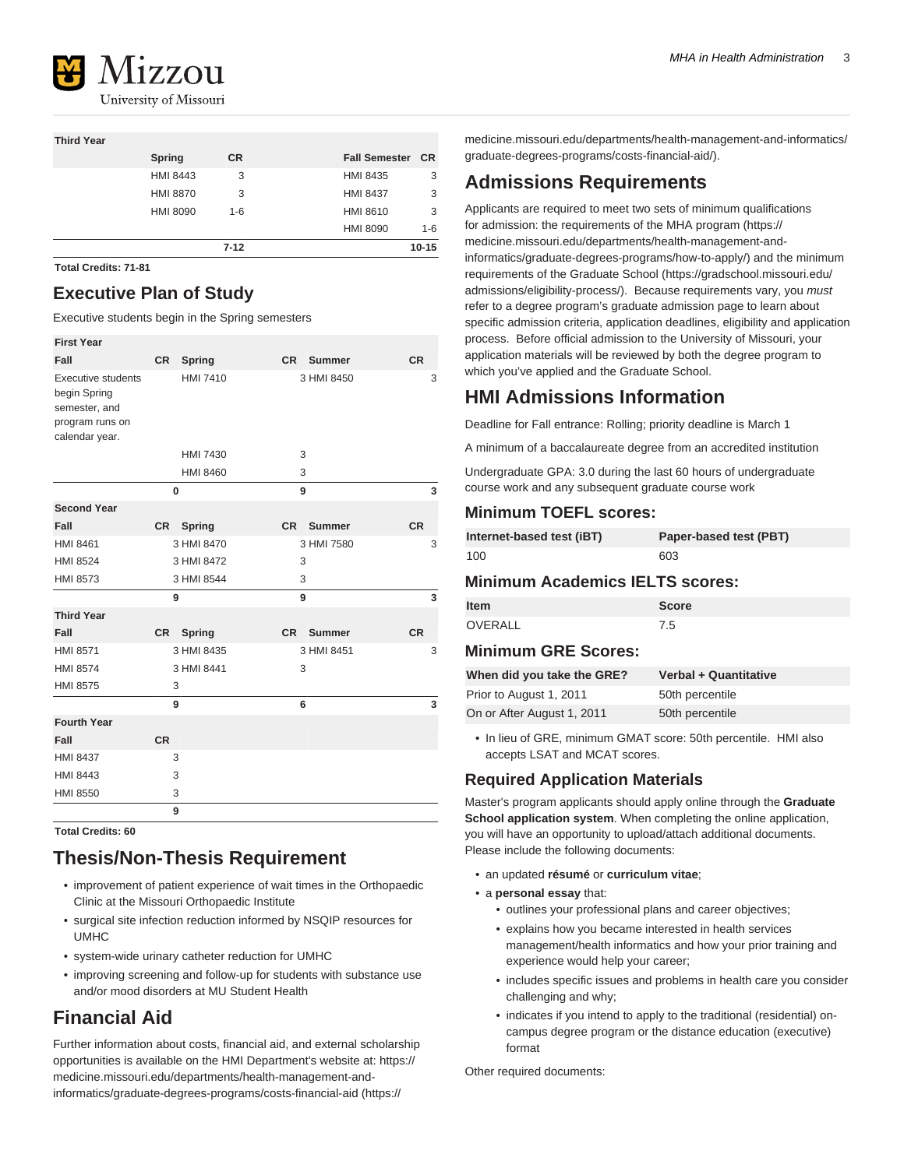

#### **Third Year**

|   |                 | $7 - 12$  |                      | $10 - 15$ |
|---|-----------------|-----------|----------------------|-----------|
|   |                 |           | <b>HMI 8090</b>      | $1 - 6$   |
|   | <b>HMI 8090</b> | $1 - 6$   | <b>HMI 8610</b>      | 3         |
|   | <b>HMI 8870</b> | 3         | <b>HMI 8437</b>      | 3         |
|   | <b>HMI 8443</b> | 3         | <b>HMI 8435</b>      | 3         |
|   | Spring          | <b>CR</b> | <b>Fall Semester</b> | <b>CR</b> |
| . |                 |           |                      |           |

**Total Credits: 71-81**

### **Executive Plan of Study**

Executive students begin in the Spring semesters

| <b>First Year</b>                                                                               |           |                 |           |               |           |   |
|-------------------------------------------------------------------------------------------------|-----------|-----------------|-----------|---------------|-----------|---|
| Fall                                                                                            | <b>CR</b> | <b>Spring</b>   | <b>CR</b> | <b>Summer</b> | <b>CR</b> |   |
| <b>Executive students</b><br>begin Spring<br>semester, and<br>program runs on<br>calendar year. |           | <b>HMI 7410</b> |           | 3 HMI 8450    |           | 3 |
|                                                                                                 |           | <b>HMI 7430</b> |           | 3             |           |   |
|                                                                                                 |           | <b>HMI 8460</b> |           | 3             |           |   |
|                                                                                                 | $\bf{0}$  |                 |           | 9             |           | 3 |
| <b>Second Year</b>                                                                              |           |                 |           |               |           |   |
| Fall                                                                                            | <b>CR</b> | <b>Spring</b>   | <b>CR</b> | <b>Summer</b> | <b>CR</b> |   |
| <b>HMI 8461</b>                                                                                 |           | 3 HMI 8470      |           | 3 HMI 7580    |           | 3 |
| <b>HMI 8524</b>                                                                                 |           | 3 HMI 8472      |           | 3             |           |   |
| <b>HMI 8573</b>                                                                                 |           | 3 HMI 8544      |           | 3             |           |   |
|                                                                                                 |           | 9               |           | 9             |           | 3 |
| <b>Third Year</b>                                                                               |           |                 |           |               |           |   |
| Fall                                                                                            | <b>CR</b> | Spring          | <b>CR</b> | <b>Summer</b> | <b>CR</b> |   |
| <b>HMI 8571</b>                                                                                 |           | 3 HMI 8435      |           | 3 HMI 8451    |           | 3 |
| <b>HMI 8574</b>                                                                                 |           | 3 HMI 8441      |           | 3             |           |   |
| <b>HMI 8575</b>                                                                                 | 3         |                 |           |               |           |   |
|                                                                                                 | 9         |                 |           | 6             |           | 3 |
| <b>Fourth Year</b>                                                                              |           |                 |           |               |           |   |
| Fall                                                                                            | <b>CR</b> |                 |           |               |           |   |
| <b>HMI 8437</b>                                                                                 |           | 3               |           |               |           |   |
| <b>HMI 8443</b>                                                                                 | 3         |                 |           |               |           |   |
| <b>HMI 8550</b>                                                                                 |           | 3               |           |               |           |   |
|                                                                                                 | 9         |                 |           |               |           |   |

**Total Credits: 60**

### **Thesis/Non-Thesis Requirement**

- improvement of patient experience of wait times in the Orthopaedic Clinic at the Missouri Orthopaedic Institute
- surgical site infection reduction informed by NSQIP resources for UMHC
- system-wide urinary catheter reduction for UMHC
- improving screening and follow-up for students with substance use and/or mood disorders at MU Student Health

### **Financial Aid**

Further information about costs, financial aid, and external scholarship opportunities is available on the HMI Department's website at: [https://](https://medicine.missouri.edu/departments/health-management-and-informatics/graduate-degrees-programs/costs-financial-aid/) [medicine.missouri.edu/departments/health-management-and](https://medicine.missouri.edu/departments/health-management-and-informatics/graduate-degrees-programs/costs-financial-aid/)[informatics/graduate-degrees-programs/costs-financial-aid](https://medicine.missouri.edu/departments/health-management-and-informatics/graduate-degrees-programs/costs-financial-aid/) ([https://](https://medicine.missouri.edu/departments/health-management-and-informatics/graduate-degrees-programs/costs-financial-aid/)

[medicine.missouri.edu/departments/health-management-and-informatics/](https://medicine.missouri.edu/departments/health-management-and-informatics/graduate-degrees-programs/costs-financial-aid/) [graduate-degrees-programs/costs-financial-aid/](https://medicine.missouri.edu/departments/health-management-and-informatics/graduate-degrees-programs/costs-financial-aid/)).

### **Admissions Requirements**

Applicants are required to meet two sets of minimum qualifications for admission: [the requirements of the MHA program](https://medicine.missouri.edu/departments/health-management-and-informatics/graduate-degrees-programs/how-to-apply/) [\(https://](https://medicine.missouri.edu/departments/health-management-and-informatics/graduate-degrees-programs/how-to-apply/) [medicine.missouri.edu/departments/health-management-and](https://medicine.missouri.edu/departments/health-management-and-informatics/graduate-degrees-programs/how-to-apply/)[informatics/graduate-degrees-programs/how-to-apply/\)](https://medicine.missouri.edu/departments/health-management-and-informatics/graduate-degrees-programs/how-to-apply/) and the [minimum](https://gradschool.missouri.edu/admissions/eligibility-process/) [requirements of the Graduate School](https://gradschool.missouri.edu/admissions/eligibility-process/) [\(https://gradschool.missouri.edu/](https://gradschool.missouri.edu/admissions/eligibility-process/) [admissions/eligibility-process/](https://gradschool.missouri.edu/admissions/eligibility-process/)). Because requirements vary, you must refer to a degree program's graduate admission page to learn about specific admission criteria, application deadlines, eligibility and application process. Before official admission to the University of Missouri, your application materials will be reviewed by both the degree program to which you've applied and the Graduate School.

### **HMI Admissions Information**

Deadline for Fall entrance: Rolling; priority deadline is March 1

A minimum of a baccalaureate degree from an accredited institution

Undergraduate GPA: 3.0 during the last 60 hours of undergraduate course work and any subsequent graduate course work

### **Minimum TOEFL scores:**

| Internet-based test (iBT) | Paper-based test (PBT) |
|---------------------------|------------------------|
| 100                       | 603                    |

### **Minimum Academics IELTS scores:**

| <b>Item</b> | Score |
|-------------|-------|
| OVERALL     | 7.5   |

#### **Minimum GRE Scores:**

| When did you take the GRE? | <b>Verbal + Quantitative</b> |
|----------------------------|------------------------------|
| Prior to August 1, 2011    | 50th percentile              |
| On or After August 1, 2011 | 50th percentile              |

• In lieu of GRE, minimum GMAT score: 50th percentile. HMI also accepts LSAT and MCAT scores.

### **Required Application Materials**

Master's program applicants should apply online through the **Graduate School application system**. When completing the online application, you will have an opportunity to upload/attach additional documents. Please include the following documents:

- an updated **résumé** or **curriculum vitae**;
- a **personal essay** that:
	- outlines your professional plans and career objectives;
	- explains how you became interested in health services management/health informatics and how your prior training and experience would help your career;
	- includes specific issues and problems in health care you consider challenging and why;
	- indicates if you intend to apply to the traditional (residential) oncampus degree program or the distance education (executive) format

Other required documents: